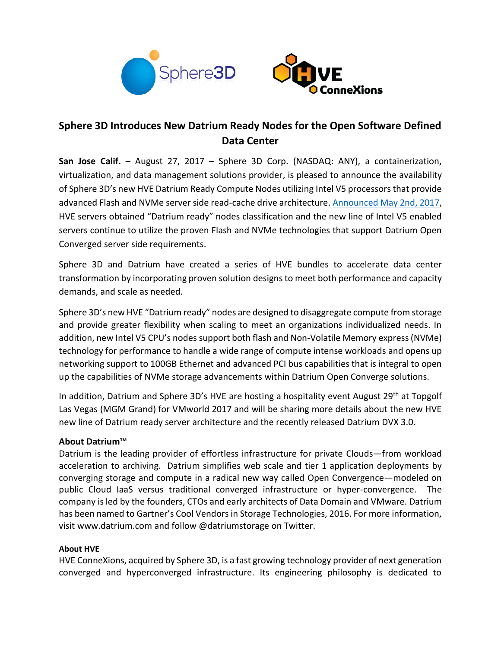



## **Sphere 3D Introduces New Datrium Ready Nodes for the Open Software Defined Data Center**

**San Jose Calif.** – August 27, 2017 – Sphere 3D Corp. (NASDAQ: ANY), a containerization, virtualization, and data management solutions provider, is pleased to announce the availability of Sphere 3D's new HVE Datrium Ready Compute Nodes utilizing Intel V5 processors that provide advanced Flash and NVMe server side read-cache drive architecture[. Announced May 2nd, 2017,](file:///C:/Users/Vicki%20Smith/Desktop/post/(https:/www.datrium.com/press-releases/datrium-sphere-3d-partner/)) HVE servers obtained "Datrium ready" nodes classification and the new line of Intel V5 enabled servers continue to utilize the proven Flash and NVMe technologies that support Datrium Open Converged server side requirements.

Sphere 3D and Datrium have created a series of HVE bundles to accelerate data center transformation by incorporating proven solution designsto meet both performance and capacity demands, and scale as needed.

Sphere 3D's new HVE "Datrium ready" nodes are designed to disaggregate compute from storage and provide greater flexibility when scaling to meet an organizations individualized needs. In addition, new Intel V5 CPU's nodes support both flash and Non-Volatile Memory express (NVMe) technology for performance to handle a wide range of compute intense workloads and opens up networking support to 100GB Ethernet and advanced PCI bus capabilities that is integral to open up the capabilities of NVMe storage advancements within Datrium Open Converge solutions.

In addition, Datrium and Sphere 3D's HVE are hosting a hospitality event August 29<sup>th</sup> at Topgolf Las Vegas (MGM Grand) for VMworld 2017 and will be sharing more details about the new HVE new line of Datrium ready server architecture and the recently released Datrium DVX 3.0.

## **About Datrium™**

Datrium is the leading provider of effortless infrastructure for private Clouds—from workload acceleration to archiving. Datrium simplifies web scale and tier 1 application deployments by converging storage and compute in a radical new way called Open Convergence—modeled on public Cloud IaaS versus traditional converged infrastructure or hyper-convergence. The company is led by the founders, CTOs and early architects of Data Domain and VMware. Datrium has been named to Gartner's Cool Vendors in Storage Technologies, 2016. For more information, visit www.datrium.com and follow @datriumstorage on Twitter.

## **About HVE**

HVE ConneXions, acquired by Sphere 3D, is a fast growing technology provider of next generation converged and hyperconverged infrastructure. Its engineering philosophy is dedicated to